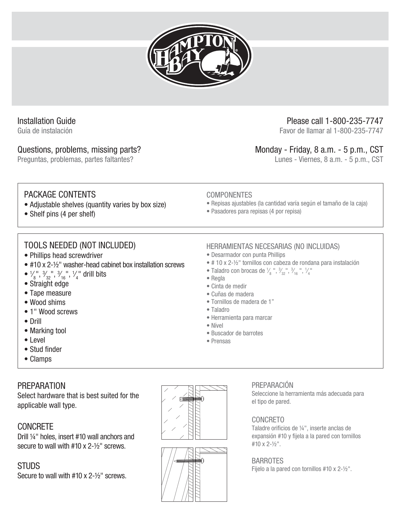

# Installation Guide

Guía de instalación

### Questions, problems, missing parts?

Preguntas, problemas, partes faltantes?

# Please call 1-800-235-7747

Favor de llamar al 1-800-235-7747

# Monday - Friday, 8 a.m. - 5 p.m., CST

Lunes - Viernes, 8 a.m. - 5 p.m., CST

# PACKAGE CONTENTS

- Adjustable shelves (quantity varies by box size)
- Shelf pins (4 per shelf)

# TOOLS NEEDED (NOT INCLUDED)

- Phillips head screwdriver
- #10 x 2-½" washer-head cabinet box installation screws
- $\frac{1}{8}$ ,  $\frac{3}{32}$ ,  $\frac{1}{16}$ ,  $\frac{1}{4}$ , drill bits ⁄ ⁄ ⁄ **∕**
- Straight edge
- Tape measure
- Wood shims
- 1" Wood screws
- Drill
- Marking tool
- Level
- Stud finder
- Clamps

# PREPARATION

Select hardware that is best suited for the applicable wall type.

# **CONCRETE**

Drill ¼" holes, insert #10 wall anchors and secure to wall with #10 x 2-½" screws.

### **STUDS**

Secure to wall with #10 x 2-½" screws.





### HERRAMIENTAS NECESARIAS (NO INCLUIDAS)

• Desarmador con punta Phillips

• Pasadores para repisas (4 por repisa)

• # 10 x 2-½" tornillos con cabeza de rondana para instalación

• Repisas ajustables (la cantidad varía según el tamaño de la caja)

- Taladro con brocas de  $\frac{1}{8}$ ",  $\frac{3}{32}$ ",  $\frac{3}{16}$ ",  $\frac{1}{4}$ " ⁄ ⁄ ⁄ ⁄
- Regla
- Cinta de medir

COMPONENTES

- Cuñas de madera
- Tornillos de madera de 1"
- Taladro
- Herramienta para marcar
- Nível
- Buscador de barrotes
- Prensas

### PREPARACIÓN

Seleccione la herramienta más adecuada para el tipo de pared.

### CONCRETO

Taladre orificios de ¼", inserte anclas de expansión #10 y fijela a la pared con tornillos #10 x 2-½".

### BARROTES

Fijelo a la pared con tornillos #10 x 2-½".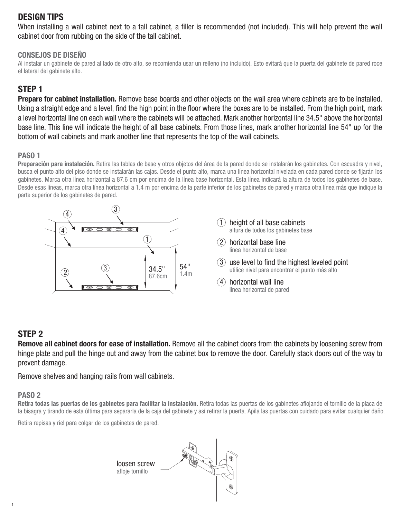# DESIGN TIPS

When installing a wall cabinet next to a tall cabinet, a filler is recommended (not included). This will help prevent the wall cabinet door from rubbing on the side of the tall cabinet.

#### CONSEJOS DE DISEÑO

Al instalar un gabinete de pared al lado de otro alto, se recomienda usar un relleno (no incluido). Esto evitará que la puerta del gabinete de pared roce el lateral del gabinete alto.

# STEP 1

Prepare for cabinet installation. Remove base boards and other objects on the wall area where cabinets are to be installed. Using a straight edge and a level, find the high point in the floor where the boxes are to be installed. From the high point, mark a level horizontal line on each wall where the cabinets will be attached. Mark another horizontal line 34.5" above the horizontal base line. This line will indicate the height of all base cabinets. From those lines, mark another horizontal line 54" up for the bottom of wall cabinets and mark another line that represents the top of the wall cabinets.

#### PASO 1

Preparación para instalación. Retira las tablas de base y otros objetos del área de la pared donde se instalarán los gabinetes. Con escuadra y nivel, busca el punto alto del piso donde se instalarán las cajas. Desde el punto alto, marca una línea horizontal nivelada en cada pared donde se fijarán los gabinetes. Marca otra línea horizontal a 87.6 cm por encima de la línea base horizontal. Esta línea indicará la altura de todos los gabinetes de base. Desde esas líneas, marca otra línea horizontal a 1.4 m por encima de la parte inferior de los gabinetes de pared y marca otra línea más que indique la parte superior de los gabinetes de pared.



### STEP 2

Remove all cabinet doors for ease of installation. Remove all the cabinet doors from the cabinets by loosening screw from hinge plate and pull the hinge out and away from the cabinet box to remove the door. Carefully stack doors out of the way to prevent damage.

Remove shelves and hanging rails from wall cabinets.

#### PASO 2

Retira todas las puertas de los gabinetes para facilitar la instalación. Retira todas las puertas de los gabinetes aflojando el tornillo de la placa de la bisagra y tirando de esta última para separarla de la caja del gabinete y así retirar la puerta. Apila las puertas con cuidado para evitar cualquier daño.

Retira repisas y riel para colgar de los gabinetes de pared.

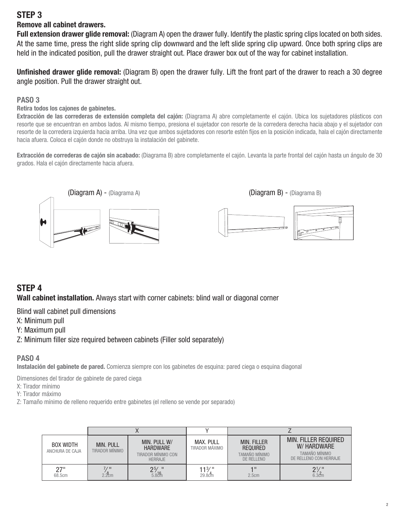### STEP 3

#### Remove all cabinet drawers.

Full extension drawer glide removal: (Diagram A) open the drawer fully. Identify the plastic spring clips located on both sides. At the same time, press the right slide spring clip downward and the left slide spring clip upward. Once both spring clips are held in the indicated position, pull the drawer straight out. Place drawer box out of the way for cabinet installation.

Unfinished drawer glide removal: (Diagram B) open the drawer fully. Lift the front part of the drawer to reach a 30 degree angle position. Pull the drawer straight out.

#### PASO 3

#### Retira todos los cajones de gabinetes.

Extracción de las correderas de extensión completa del cajón: (Diagrama A) abre completamente el cajón. Ubica los sujetadores plásticos con resorte que se encuentran en ambos lados. Al mismo tiempo, presiona el sujetador con resorte de la corredera derecha hacia abajo y el sujetador con resorte de la corredera izquierda hacia arriba. Una vez que ambos sujetadores con resorte estén fijos en la posición indicada, hala el cajón directamente hacia afuera. Coloca el cajón donde no obstruya la instalación del gabinete.

Extracción de correderas de cajón sin acabado: (Diagrama B) abre completamente el cajón. Levanta la parte frontal del cajón hasta un ángulo de 30 grados. Hala el cajón directamente hacia afuera.



### STEP 4

Wall cabinet installation. Always start with corner cabinets: blind wall or diagonal corner

Blind wall cabinet pull dimensions

X: Minimum pull

Y: Maximum pull

Z: Minimum filler size required between cabinets (Filler sold separately)

#### PASO 4

Instalación del gabinete de pared. Comienza siempre con los gabinetes de esquina: pared ciega o esquina diagonal

Dimensiones del tirador de gabinete de pared ciega

X: Tirador mínimo

Y: Tirador máximo

Z: Tamaño mínimo de relleno requerido entre gabinetes (el relleno se vende por separado)

| <b>BOX WIDTH</b><br>ANCHURA DE CAJA | <b>MIN. PULL</b><br>TIRADOR MÍNIMO | MIN. PULL W/<br><b>HARDWARE</b><br>TIRADOR MÍNIMO CON<br><b>HERRAJE</b> | <b>MAX. PULL</b><br>TIRADOR MÁXIMO | <b>MIN. FILLER</b><br><b>REQUIRED</b><br>TAMAÑO MÍNIMO<br>DE RELLENO | <b>MIN. FILLER REQUIRED</b><br>W/ HARDWARE<br>TAMAÑO MÍNIMO<br>DE RELLENO CON HERRAJE |
|-------------------------------------|------------------------------------|-------------------------------------------------------------------------|------------------------------------|----------------------------------------------------------------------|---------------------------------------------------------------------------------------|
| 27"<br>68.5cm                       | 7/II<br>2.2cm                      | $25/$ "<br>5.816                                                        | 11¾."<br>$29.8c$ m                 | 4 II<br>2.5cm                                                        | $2\frac{1}{6.3}$                                                                      |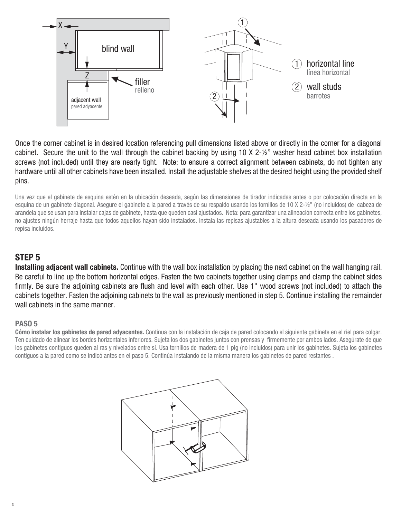

Once the corner cabinet is in desired location referencing pull dimensions listed above or directly in the corner for a diagonal cabinet. Secure the unit to the wall through the cabinet backing by using 10 X 2-½" washer head cabinet box installation screws (not included) until they are nearly tight. Note: to ensure a correct alignment between cabinets, do not tighten any hardware until all other cabinets have been installed. Install the adjustable shelves at the desired height using the provided shelf pins.

Una vez que el gabinete de esquina estén en la ubicación deseada, según las dimensiones de tirador indicadas antes o por colocación directa en la esquina de un gabinete diagonal. Asegure el gabinete a la pared a través de su respaldo usando los tornillos de 10 X 2-½" (no incluidos) de cabeza de arandela que se usan para instalar cajas de gabinete, hasta que queden casi ajustados. Nota: para garantizar una alineación correcta entre los gabinetes, no ajustes ningún herraje hasta que todos aquellos hayan sido instalados. Instala las repisas ajustables a la altura deseada usando los pasadores de repisa incluidos.

### STEP 5

Installing adjacent wall cabinets. Continue with the wall box installation by placing the next cabinet on the wall hanging rail. Be careful to line up the bottom horizontal edges. Fasten the two cabinets together using clamps and clamp the cabinet sides firmly. Be sure the adjoining cabinets are flush and level with each other. Use 1" wood screws (not included) to attach the cabinets together. Fasten the adjoining cabinets to the wall as previously mentioned in step 5. Continue installing the remainder wall cabinets in the same manner.

#### PASO 5

Cómo instalar los gabinetes de pared adyacentes. Continua con la instalación de caja de pared colocando el siguiente gabinete en el riel para colgar. Ten cuidado de alinear los bordes horizontales inferiores. Sujeta los dos gabinetes juntos con prensas y firmemente por ambos lados. Asegúrate de que los gabinetes contiguos queden al ras y nivelados entre sí. Usa tornillos de madera de 1 plg (no incluidos) para unir los gabinetes. Sujeta los gabinetes contiguos a la pared como se indicó antes en el paso 5. Continúa instalando de la misma manera los gabinetes de pared restantes .

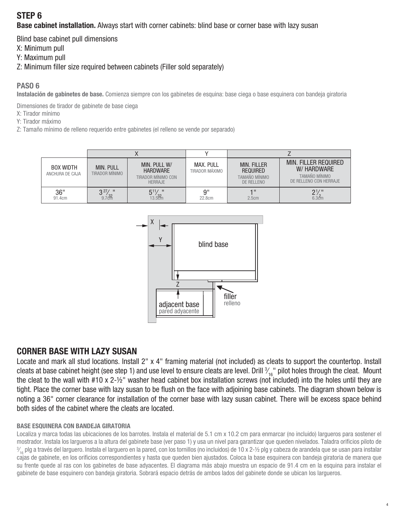# STEP 6

**Base cabinet installation.** Always start with corner cabinets: blind base or corner base with lazy susan

Blind base cabinet pull dimensions

X: Minimum pull

Y: Maximum pull

Z: Minimum filler size required between cabinets (Filler sold separately)

#### PASO 6

Instalación de gabinetes de base. Comienza siempre con los gabinetes de esquina: base ciega o base esquinera con bandeja giratoria

Dimensiones de tirador de gabinete de base ciega

X: Tirador mínimo

Y: Tirador máximo

Z: Tamaño mínimo de relleno requerido entre gabinetes (el relleno se vende por separado)

| <b>BOX WIDTH</b><br>ANCHURA DE CAJA | <b>MIN. PULL</b><br>TIRADOR MÍNIMO    | MIN. PULL W/<br><b>HARDWARE</b><br>TIRADOR MÍNIMO CON<br><b>HERRAJE</b> | MAX. PULL<br>TIRADOR MÁXIMO | <b>MIN. FILLER</b><br><b>REQUIRED</b><br>TAMAÑO MÍNIMO<br>DE RELLENO | MIN. FILLER REQUIRED<br>W/ HARDWARE<br>TAMAÑO MÍNIMO<br>DE RELLENO CON HERRAJE |
|-------------------------------------|---------------------------------------|-------------------------------------------------------------------------|-----------------------------|----------------------------------------------------------------------|--------------------------------------------------------------------------------|
| 36"<br>91.4cm                       | $2^{27}$ / $\mu$<br>9.7 <sup>32</sup> | $5^{11}/$<br>/ IF<br>13.52m                                             | 9"<br>22.8cm                | 4 II<br>2.5cm                                                        | $2\frac{1}{6.3}$                                                               |



# CORNER BASE WITH LAZY SUSAN

Locate and mark all stud locations. Install 2" x 4" framing material (not included) as cleats to support the countertop. Install cleats at base cabinet height (see step 1) and use level to ensure cleats are level. Drill  $\mathcal{V}_{16}$ " pilot holes through the cleat. Mount **∕** the cleat to the wall with #10 x 2-½" washer head cabinet box installation screws (not included) into the holes until they are tight. Place the corner base with lazy susan to be flush on the face with adjoining base cabinets. The diagram shown below is noting a 36" corner clearance for installation of the corner base with lazy susan cabinet. There will be excess space behind both sides of the cabinet where the cleats are located.

#### BASE ESQUINERA CON BANDEJA GIRATORIA

Localiza y marca todas las ubicaciones de los barrotes. Instala el material de 5.1 cm x 10.2 cm para enmarcar (no incluido) largueros para sostener el mostrador. Instala los largueros a la altura del gabinete base (ver paso 1) y usa un nivel para garantizar que queden nivelados. Taladra orificios piloto de 3 ⁄  $\frac{3}{2}$ , plg a través del larguero. Instala el larguero en la pared, con los tornillos (no incluidos) de 10 x 2-½ plg y cabeza de arandela que se usan para instalar cajas de gabinete, en los orificios correspondientes y hasta que queden bien ajustados. Coloca la base esquinera con bandeja giratoria de manera que su frente quede al ras con los gabinetes de base adyacentes. El diagrama más abajo muestra un espacio de 91.4 cm en la esquina para instalar el gabinete de base esquinero con bandeja giratoria. Sobrará espacio detrás de ambos lados del gabinete donde se ubican los largueros.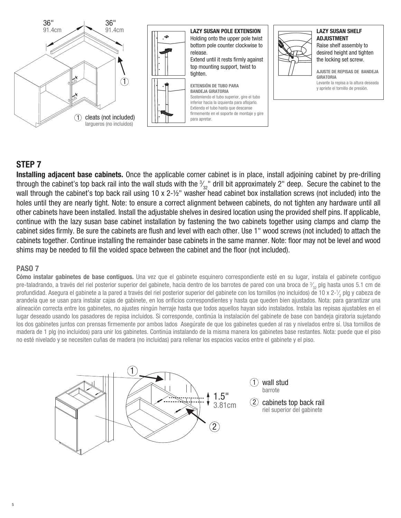

## STEP 7

Installing adjacent base cabinets. Once the applicable corner cabinet is in place, install adjoining cabinet by pre-drilling through the cabinet's top back rail into the wall studs with the  $\frac{3}{32}$ " drill bit approximately 2" deep. Secure the cabinet to the ⁄ wall through the cabinet's top back rail using 10 x 2-½" washer head cabinet box installation screws (not included) into the holes until they are nearly tight. Note: to ensure a correct alignment between cabinets, do not tighten any hardware until all other cabinets have been installed. Install the adjustable shelves in desired location using the provided shelf pins. If applicable, continue with the lazy susan base cabinet installation by fastening the two cabinets together using clamps and clamp the cabinet sides firmly. Be sure the cabinets are flush and level with each other. Use 1" wood screws (not included) to attach the cabinets together. Continue installing the remainder base cabinets in the same manner. Note: floor may not be level and wood shims may be needed to fill the voided space between the cabinet and the floor (not included).

#### PASO 7

Cómo instalar gabinetes de base contiguos. Una vez que el gabinete esquinero correspondiente esté en su lugar, instala el gabinete contiguo pre-taladrando, a través del riel posterior superior del gabinete, hacia dentro de los barrotes de pared con una broca de  $\frac{3}{32}$  plg hasta unos 5.1 cm de ⁄ profundidad. Asegura el gabinete a la pared a través del riel posterior superior del gabinete con los tornillos (no incluidos) de 10 x 2-½ plg y cabeza de ⁄ arandela que se usan para instalar cajas de gabinete, en los orificios correspondientes y hasta que queden bien ajustados. Nota: para garantizar una alineación correcta entre los gabinetes, no ajustes ningún herraje hasta que todos aquellos hayan sido instalados. Instala las repisas ajustables en el lugar deseado usando los pasadores de repisa incluidos. Si corresponde, continúa la instalación del gabinete de base con bandeja giratoria sujetando los dos gabinetes juntos con prensas firmemente por ambos lados Asegúrate de que los gabinetes queden al ras y nivelados entre sí. Usa tornillos de madera de 1 plg (no incluidos) para unir los gabinetes. Continúa instalando de la misma manera los gabinetes base restantes. Nota: puede que el piso no esté nivelado y se necesiten cuñas de madera (no incluidas) para rellenar los espacios vacíos entre el gabinete y el piso.

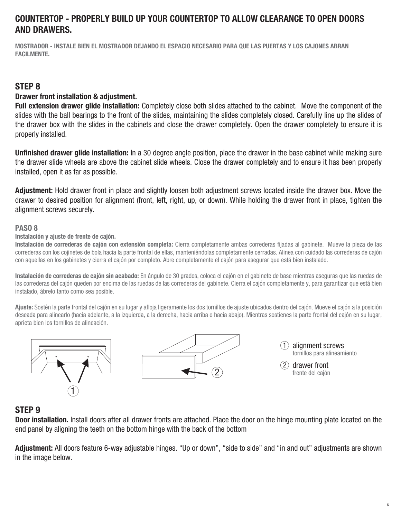## COUNTERTOP - PROPERLY BUILD UP YOUR COUNTERTOP TO ALLOW CLEARANCE TO OPEN DOORS AND DRAWERS.

MOSTRADOR - INSTALE BIEN EL MOSTRADOR DEJANDO EL ESPACIO NECESARIO PARA QUE LAS PUERTAS Y LOS CAJONES ABRAN FACILMENTE.

### STEP 8

#### Drawer front installation & adjustment.

Full extension drawer glide installation: Completely close both slides attached to the cabinet. Move the component of the slides with the ball bearings to the front of the slides, maintaining the slides completely closed. Carefully line up the slides of the drawer box with the slides in the cabinets and close the drawer completely. Open the drawer completely to ensure it is properly installed.

Unfinished drawer glide installation: In a 30 degree angle position, place the drawer in the base cabinet while making sure the drawer slide wheels are above the cabinet slide wheels. Close the drawer completely and to ensure it has been properly installed, open it as far as possible.

Adjustment: Hold drawer front in place and slightly loosen both adjustment screws located inside the drawer box. Move the drawer to desired position for alignment (front, left, right, up, or down). While holding the drawer front in place, tighten the alignment screws securely.

#### PASO 8

#### Instalación y ajuste de frente de cajón.

Instalación de correderas de cajón con extensión completa: Cierra completamente ambas correderas fijadas al gabinete. Mueve la pieza de las correderas con los cojinetes de bola hacia la parte frontal de ellas, manteniéndolas completamente cerradas. Alinea con cuidado las correderas de cajón con aquellas en los gabinetes y cierra el cajón por completo. Abre completamente el cajón para asegurar que está bien instalado.

Instalación de correderas de cajón sin acabado: En ángulo de 30 grados, coloca el cajón en el gabinete de base mientras aseguras que las ruedas de las correderas del cajón queden por encima de las ruedas de las correderas del gabinete. Cierra el cajón completamente y, para garantizar que está bien instalado, ábrelo tanto como sea posible.

Ajuste: Sostén la parte frontal del cajón en su lugar y afloja ligeramente los dos tornillos de ajuste ubicados dentro del cajón. Mueve el cajón a la posición deseada para alinearlo (hacia adelante, a la izquierda, a la derecha, hacia arriba o hacia abajo). Mientras sostienes la parte frontal del cajón en su lugar, aprieta bien los tornillos de alineación.





1 alignment screws tornillos para alineamiento

2 drawer front frente del cajón

### STEP 9

Door installation. Install doors after all drawer fronts are attached. Place the door on the hinge mounting plate located on the end panel by aligning the teeth on the bottom hinge with the back of the bottom

Adjustment: All doors feature 6-way adjustable hinges. "Up or down", "side to side" and "in and out" adjustments are shown in the image below.